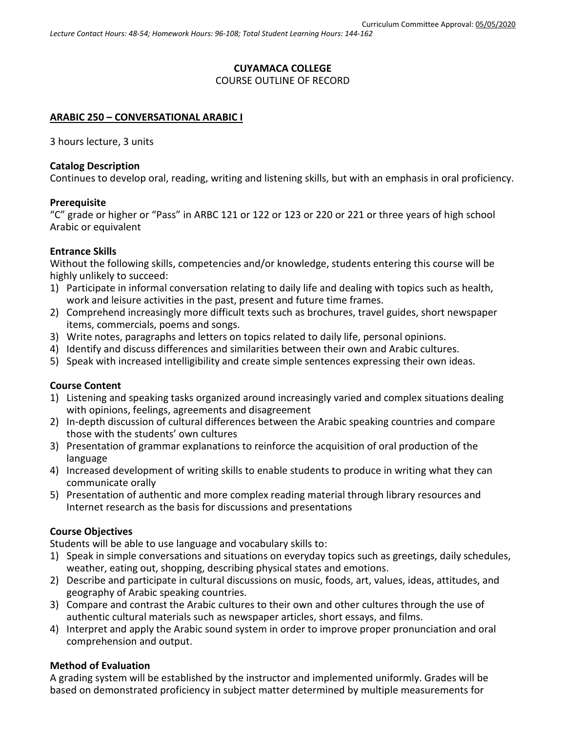# **CUYAMACA COLLEGE** COURSE OUTLINE OF RECORD

### **ARABIC 250 – CONVERSATIONAL ARABIC I**

3 hours lecture, 3 units

#### **Catalog Description**

Continues to develop oral, reading, writing and listening skills, but with an emphasis in oral proficiency.

#### **Prerequisite**

"C" grade or higher or "Pass" in ARBC 121 or 122 or 123 or 220 or 221 or three years of high school Arabic or equivalent

#### **Entrance Skills**

Without the following skills, competencies and/or knowledge, students entering this course will be highly unlikely to succeed:

- 1) Participate in informal conversation relating to daily life and dealing with topics such as health, work and leisure activities in the past, present and future time frames.
- 2) Comprehend increasingly more difficult texts such as brochures, travel guides, short newspaper items, commercials, poems and songs.
- 3) Write notes, paragraphs and letters on topics related to daily life, personal opinions.
- 4) Identify and discuss differences and similarities between their own and Arabic cultures.
- 5) Speak with increased intelligibility and create simple sentences expressing their own ideas.

#### **Course Content**

- 1) Listening and speaking tasks organized around increasingly varied and complex situations dealing with opinions, feelings, agreements and disagreement
- 2) In-depth discussion of cultural differences between the Arabic speaking countries and compare those with the students' own cultures
- 3) Presentation of grammar explanations to reinforce the acquisition of oral production of the language
- 4) Increased development of writing skills to enable students to produce in writing what they can communicate orally
- 5) Presentation of authentic and more complex reading material through library resources and Internet research as the basis for discussions and presentations

### **Course Objectives**

Students will be able to use language and vocabulary skills to:

- 1) Speak in simple conversations and situations on everyday topics such as greetings, daily schedules, weather, eating out, shopping, describing physical states and emotions.
- 2) Describe and participate in cultural discussions on music, foods, art, values, ideas, attitudes, and geography of Arabic speaking countries.
- 3) Compare and contrast the Arabic cultures to their own and other cultures through the use of authentic cultural materials such as newspaper articles, short essays, and films.
- 4) Interpret and apply the Arabic sound system in order to improve proper pronunciation and oral comprehension and output.

### **Method of Evaluation**

A grading system will be established by the instructor and implemented uniformly. Grades will be based on demonstrated proficiency in subject matter determined by multiple measurements for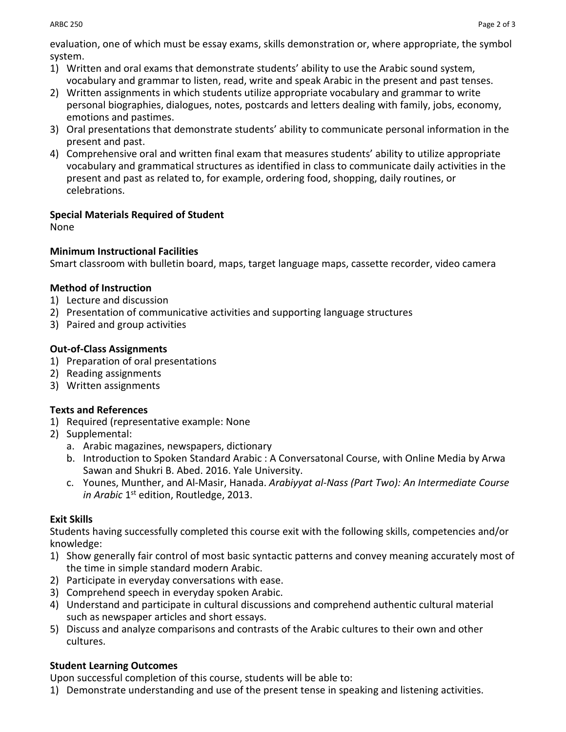evaluation, one of which must be essay exams, skills demonstration or, where appropriate, the symbol system.

- 1) Written and oral exams that demonstrate students' ability to use the Arabic sound system, vocabulary and grammar to listen, read, write and speak Arabic in the present and past tenses.
- 2) Written assignments in which students utilize appropriate vocabulary and grammar to write personal biographies, dialogues, notes, postcards and letters dealing with family, jobs, economy, emotions and pastimes.
- 3) Oral presentations that demonstrate students' ability to communicate personal information in the present and past.
- 4) Comprehensive oral and written final exam that measures students' ability to utilize appropriate vocabulary and grammatical structures as identified in class to communicate daily activities in the present and past as related to, for example, ordering food, shopping, daily routines, or celebrations.

# **Special Materials Required of Student**

None

### **Minimum Instructional Facilities**

Smart classroom with bulletin board, maps, target language maps, cassette recorder, video camera

### **Method of Instruction**

- 1) Lecture and discussion
- 2) Presentation of communicative activities and supporting language structures
- 3) Paired and group activities

# **Out-of-Class Assignments**

- 1) Preparation of oral presentations
- 2) Reading assignments
- 3) Written assignments

# **Texts and References**

- 1) Required (representative example: None
- 2) Supplemental:
	- a. Arabic magazines, newspapers, dictionary
	- b. Introduction to Spoken Standard Arabic : A Conversatonal Course, with Online Media by Arwa Sawan and Shukri B. Abed. 2016. Yale University.
	- c. Younes, Munther, and Al-Masir, Hanada. *Arabiyyat al-Nass (Part Two): An Intermediate Course in Arabic* 1<sup>st</sup> edition, Routledge, 2013.

# **Exit Skills**

Students having successfully completed this course exit with the following skills, competencies and/or knowledge:

- 1) Show generally fair control of most basic syntactic patterns and convey meaning accurately most of the time in simple standard modern Arabic.
- 2) Participate in everyday conversations with ease.
- 3) Comprehend speech in everyday spoken Arabic.
- 4) Understand and participate in cultural discussions and comprehend authentic cultural material such as newspaper articles and short essays.
- 5) Discuss and analyze comparisons and contrasts of the Arabic cultures to their own and other cultures.

# **Student Learning Outcomes**

Upon successful completion of this course, students will be able to:

1) Demonstrate understanding and use of the present tense in speaking and listening activities.